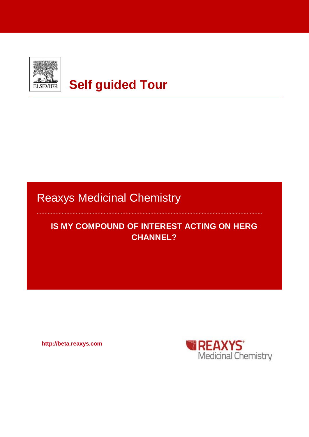

# **Self guided Tour**

## Reaxys Medicinal Chemistry

### **IS MY COMPOUND OF INTEREST ACTING ON HERG CHANNEL?**

**http://beta.reaxys.com**

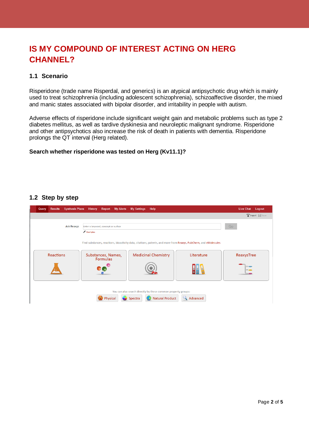### **IS MY COMPOUND OF INTEREST ACTING ON HERG CHANNEL?**

#### **1.1 Scenario**

Risperidone (trade name Risperdal, and generics) is an [atypical antipsychotic](http://en.wikipedia.org/wiki/Atypical_antipsychotic) drug which is mainly used to treat [schizophrenia](http://en.wikipedia.org/wiki/Schizophrenia) (including adolescent schizophrenia), [schizoaffective disorder,](http://en.wikipedia.org/wiki/Schizoaffective_disorder) the mixed and manic states associated with [bipolar disorder,](http://en.wikipedia.org/wiki/Bipolar_disorder) and irritability in people with [autism.](http://en.wikipedia.org/wiki/Autism)

Adverse effects of risperidone include significant [weight gain](http://en.wikipedia.org/wiki/Weight_gain) and metabolic problems such as type 2 [diabetes mellitus,](http://en.wikipedia.org/wiki/Diabetes_mellitus) as well as [tardive dyskinesia](http://en.wikipedia.org/wiki/Tardive_dyskinesia) and [neuroleptic malignant syndrome.](http://en.wikipedia.org/wiki/Neuroleptic_malignant_syndrome) Risperidone and other antipsychotics also increase the risk of death in patients with dementia. Risperidone prolongs the QT interval (Herg related).

#### **Search whether risperidone was tested on Herg (Kv11.1)?**

#### **1.2 Step by step**

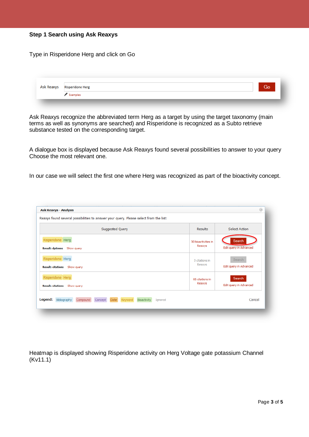|  |  |  |  | <b>Step 1 Search using Ask Reaxys</b> |
|--|--|--|--|---------------------------------------|
|--|--|--|--|---------------------------------------|

Type in Risperidone Herg and click on Go

| Ask Reaxys | <b>Risperidone Herg</b> | Go |
|------------|-------------------------|----|
|            | Examples                |    |

Ask Reaxys recognize the abbreviated term Herg as a target by using the target taxonomy (main terms as well as synonyms are searched) and Risperidone is recognized as a Subto retrieve substance tested on the corresponding target.

A dialogue box is displayed because Ask Reaxys found several possibilities to answer to your query Choose the most relevant one.

In our case we will select the first one where Herg was recognized as part of the bioactivity concept.

| Select Action<br>Suggested Query<br>Results<br>Search<br>30 bioactivities in<br>Reaxys<br>Search<br>0 citations in<br>Reaxys |                                                  |                        |
|------------------------------------------------------------------------------------------------------------------------------|--------------------------------------------------|------------------------|
|                                                                                                                              |                                                  |                        |
|                                                                                                                              | Risperidone Herg<br>Result: dpitems Show query   | Edit query in Advanced |
|                                                                                                                              | Risperidone Herg<br>Result: citations Show query | Edit query in Advanced |
| Search<br>66 citations in<br>Reaxys<br>Result: citations Show query                                                          | Risperidone Herg                                 | Edit query in Advanced |

Heatmap is displayed showing Risperidone activity on Herg Voltage gate potassium Channel (Kv11.1)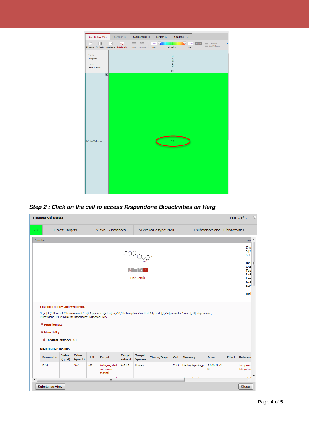



| 6.80             | X-axis: Targets                                                                                                                                                          |                  |             | Y-axis: Substances                    |                          |                                 | Select value type: MAX |      |                                                                                                                                              | 1 substances and 30 bioactivities |                                                   |
|------------------|--------------------------------------------------------------------------------------------------------------------------------------------------------------------------|------------------|-------------|---------------------------------------|--------------------------|---------------------------------|------------------------|------|----------------------------------------------------------------------------------------------------------------------------------------------|-----------------------------------|---------------------------------------------------|
| Structure        |                                                                                                                                                                          |                  |             |                                       |                          |                                 |                        |      |                                                                                                                                              |                                   | Strui <sup>A</sup>                                |
|                  |                                                                                                                                                                          |                  |             |                                       |                          |                                 |                        |      |                                                                                                                                              |                                   | Che                                               |
|                  |                                                                                                                                                                          |                  |             |                                       |                          | Map                             |                        |      |                                                                                                                                              |                                   | $3 - [2]$<br>6,7,                                 |
|                  |                                                                                                                                                                          |                  |             |                                       |                          |                                 |                        |      |                                                                                                                                              |                                   | $Rea =$                                           |
|                  |                                                                                                                                                                          |                  |             |                                       |                          |                                 |                        |      |                                                                                                                                              |                                   | <b>CAS</b><br><b>Typ</b>                          |
|                  |                                                                                                                                                                          |                  |             |                                       |                          | <b>Hide Details</b>             |                        |      |                                                                                                                                              |                                   | Mol<br>Line                                       |
|                  |                                                                                                                                                                          |                  |             |                                       |                          |                                 |                        |      |                                                                                                                                              |                                   | Mol<br><b>InCl</b>                                |
|                  |                                                                                                                                                                          |                  |             |                                       |                          |                                 |                        |      |                                                                                                                                              |                                   | High                                              |
|                  |                                                                                                                                                                          |                  |             |                                       |                          |                                 |                        |      |                                                                                                                                              |                                   |                                                   |
|                  | <b>Chemical Names and Synonyms</b>                                                                                                                                       |                  |             |                                       |                          |                                 |                        |      | 3-[2-[4-(6-fluoro-1,2-benzisoxazol-3-yl)-1-piperidinyl]ethyl]-6,7,8,9-tetrahydro-2-methyl-4H-pyrido[1,2-a]pyrimidin-4-one, [3H]-Risperidone, |                                   |                                                   |
|                  | Risperidone, RISPERDAL®, risperidone, Risperdal, RIS<br><b>₹ Drug</b> ikeness<br><b>* Bioactivity</b><br><b>*</b> In vitro: Efficacy (30)<br><b>Quantitative Results</b> |                  |             |                                       |                          |                                 |                        |      |                                                                                                                                              |                                   |                                                   |
|                  | Value<br><b>Parameter</b><br>(qual)                                                                                                                                      | Value<br>(quant) | <b>Unit</b> | <b>Target</b>                         | <b>Target</b><br>subunit | <b>Target</b><br><b>Species</b> | <b>Tissue/Organ</b>    | Cell | <b>Bioassay</b>                                                                                                                              | <b>Dose</b>                       |                                                   |
| IC <sub>50</sub> |                                                                                                                                                                          | 167              | nM          | Voltage-gated<br>potassium<br>channel | Kv11.1                   | <b>Human</b>                    |                        | CHO  | Electrophysiology                                                                                                                            | 1.00000E-10<br>M                  | <b>Effect</b> Referenc<br>European<br>Title/Abstr |